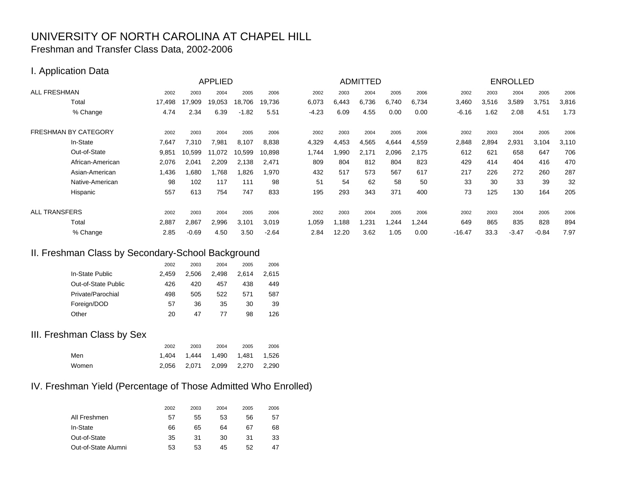# UNIVERSITY OF NORTH CAROLINA AT CHAPEL HILLFreshman and Transfer Class Data, 2002-2006

#### I. Application Data

| <b>APPLIED</b>              |        |         |        |         | ADMITTED |         |       |       |       | <b>ENROLLED</b> |          |       |         |         |       |
|-----------------------------|--------|---------|--------|---------|----------|---------|-------|-------|-------|-----------------|----------|-------|---------|---------|-------|
| <b>ALL FRESHMAN</b>         | 2002   | 2003    | 2004   | 2005    | 2006     | 2002    | 2003  | 2004  | 2005  | 2006            | 2002     | 2003  | 2004    | 2005    | 2006  |
| Total                       | 17,498 | 17,909  | 19,053 | 18,706  | 19,736   | 6,073   | 6,443 | 6,736 | 6,740 | 6,734           | 3,460    | 3,516 | 3,589   | 3,751   | 3,816 |
| % Change                    | 4.74   | 2.34    | 6.39   | $-1.82$ | 5.51     | $-4.23$ | 6.09  | 4.55  | 0.00  | 0.00            | $-6.16$  | .62   | 2.08    | 4.51    | 1.73  |
| <b>FRESHMAN BY CATEGORY</b> | 2002   | 2003    | 2004   | 2005    | 2006     | 2002    | 2003  | 2004  | 2005  | 2006            | 2002     | 2003  | 2004    | 2005    | 2006  |
| In-State                    | 7,647  | 7,310   | 7,981  | 8,107   | 8,838    | 4,329   | 4,453 | 4,565 | 4,644 | 4,559           | 2,848    | 2,894 | 2,931   | 3,104   | 3,110 |
| Out-of-State                | 9,851  | 10.599  | 11,072 | 10,599  | 10,898   | 1,744   | 1,990 | 2,171 | 2,096 | 2,175           | 612      | 621   | 658     | 647     | 706   |
| African-American            | 2,076  | 2,041   | 2,209  | 2,138   | 2,471    | 809     | 804   | 812   | 804   | 823             | 429      | 414   | 404     | 416     | 470   |
| Asian-American              | 1,436  | 1,680   | 1,768  | 1,826   | 1,970    | 432     | 517   | 573   | 567   | 617             | 217      | 226   | 272     | 260     | 287   |
| Native-American             | 98     | 102     | 117    | 111     | 98       | 51      | 54    | 62    | 58    | 50              | 33       | 30    | 33      | 39      | 32    |
| Hispanic                    | 557    | 613     | 754    | 747     | 833      | 195     | 293   | 343   | 371   | 400             | 73       | 125   | 130     | 164     | 205   |
| <b>ALL TRANSFERS</b>        | 2002   | 2003    | 2004   | 2005    | 2006     | 2002    | 2003  | 2004  | 2005  | 2006            | 2002     | 2003  | 2004    | 2005    | 2006  |
| Total                       | 2,887  | 2,867   | 2,996  | 3,101   | 3,019    | 1,059   | 1,188 | 1,231 | .244  | 1,244           | 649      | 865   | 835     | 828     | 894   |
| % Change                    | 2.85   | $-0.69$ | 4.50   | 3.50    | $-2.64$  | 2.84    | 12.20 | 3.62  | 1.05  | 0.00            | $-16.47$ | 33.3  | $-3.47$ | $-0.84$ | 7.97  |

#### II. Freshman Class by Secondary-School Background

|                     | 2002  | 2003  | 2004  | 2005  | 2006  |
|---------------------|-------|-------|-------|-------|-------|
| In-State Public     | 2.459 | 2.506 | 2.498 | 2.614 | 2,615 |
| Out-of-State Public | 426   | 420   | 457   | 438   | 449   |
| Private/Parochial   | 498   | 505   | 522   | 571   | 587   |
| Foreign/DOD         | 57    | 36    | 35    | 30    | 39    |
| Other               | 20    | 47    | 77    | 98    | 126   |

#### III. Freshman Class by Sex

|       | 2002 | 2003                              | 2004 | 2005 | 2006 |
|-------|------|-----------------------------------|------|------|------|
| Men   |      | 1.404  1.444  1.490  1.481  1.526 |      |      |      |
| Women |      | 2.056 2.071 2.099 2.270 2.290     |      |      |      |

## IV. Freshman Yield (Percentage of Those Admitted Who Enrolled)

|                     | 2002 | 2003 | 2004 | 2005 | 2006 |
|---------------------|------|------|------|------|------|
| All Freshmen        | 57   | 55   | 53   | 56   | 57   |
| In-State            | 66   | 65   | 64   | 67   | 68   |
| Out-of-State        | 35   | 31   | 30   | 31   | 33   |
| Out-of-State Alumni | 53   | 53   | 45   | 52   | 47   |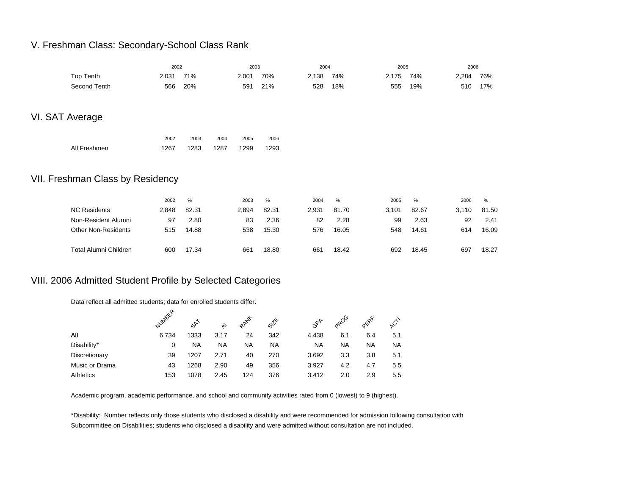### V. Freshman Class: Secondary-School Class Rank

|                                  |       | 2002  |      | 2003  |       |       | 2004  |       | 2005  |       | 2006  |
|----------------------------------|-------|-------|------|-------|-------|-------|-------|-------|-------|-------|-------|
| Top Tenth                        | 2,031 | 71%   |      | 2,001 | 70%   | 2,138 | 74%   | 2,175 | 74%   | 2,284 | 76%   |
| Second Tenth                     | 566   | 20%   |      | 591   | 21%   | 528   | 18%   | 555   | 19%   | 510   | 17%   |
|                                  |       |       |      |       |       |       |       |       |       |       |       |
| VI. SAT Average                  |       |       |      |       |       |       |       |       |       |       |       |
|                                  |       |       |      |       |       |       |       |       |       |       |       |
|                                  | 2002  | 2003  | 2004 | 2005  | 2006  |       |       |       |       |       |       |
| All Freshmen                     | 1267  | 1283  | 1287 | 1299  | 1293  |       |       |       |       |       |       |
|                                  |       |       |      |       |       |       |       |       |       |       |       |
| VII. Freshman Class by Residency |       |       |      |       |       |       |       |       |       |       |       |
|                                  |       |       |      |       |       |       |       |       |       |       |       |
|                                  | 2002  | %     |      | 2003  | $\%$  | 2004  | $\%$  | 2005  | %     | 2006  | %     |
| <b>NC Residents</b>              | 2,848 | 82.31 |      | 2,894 | 82.31 | 2,931 | 81.70 | 3,101 | 82.67 | 3,110 | 81.50 |
| Non-Resident Alumni              | 97    | 2.80  |      | 83    | 2.36  | 82    | 2.28  | 99    | 2.63  | 92    | 2.41  |
| <b>Other Non-Residents</b>       | 515   | 14.88 |      | 538   | 15.30 | 576   | 16.05 | 548   | 14.61 | 614   | 16.09 |
| <b>Total Alumni Children</b>     | 600   | 17.34 |      | 661   | 18.80 | 661   | 18.42 | 692   | 18.45 | 697   | 18.27 |
|                                  |       |       |      |       |       |       |       |       |       |       |       |

## VIII. 2006 Admitted Student Profile by Selected Categories

Data reflect all admitted students; data for enrolled students differ.

|                  | NUMBER | 55   | ゃ         | RANK | SIX       | $c_{\delta}^{\delta_{\mathcal{F}}}$ | $\infty$  | ord | $\mathcal{L}^{\wedge}$ |
|------------------|--------|------|-----------|------|-----------|-------------------------------------|-----------|-----|------------------------|
| All              | 6.734  | 1333 | 3.17      | 24   | 342       | 4.438                               | 6.1       | 6.4 | 5.1                    |
| Disability*      | 0      | NA   | <b>NA</b> | NA   | <b>NA</b> | <b>NA</b>                           | <b>NA</b> | NA  | ΝA                     |
| Discretionary    | 39     | 1207 | 2.71      | 40   | 270       | 3.692                               | 3.3       | 3.8 | 5.1                    |
| Music or Drama   | 43     | 1268 | 2.90      | 49   | 356       | 3.927                               | 4.2       | 4.7 | 5.5                    |
| <b>Athletics</b> | 153    | 1078 | 2.45      | 124  | 376       | 3.412                               | 2.0       | 2.9 | 5.5                    |

Academic program, academic performance, and school and community activities rated from 0 (lowest) to 9 (highest).

\*Disability: Number reflects only those students who disclosed a disability and were recommended for admission following consultation with Subcommittee on Disabilities; students who disclosed a disability and were admitted without consultation are not included.